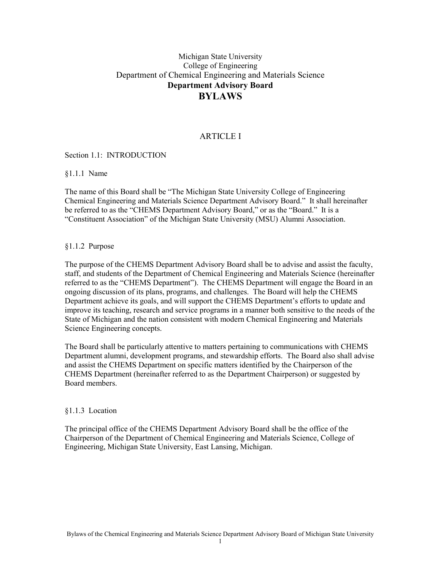# Michigan State University College of Engineering Department of Chemical Engineering and Materials Science **Department Advisory Board BYLAWS**

# ARTICLE I

Section 1.1: INTRODUCTION

§1.1.1 Name

The name of this Board shall be "The Michigan State University College of Engineering Chemical Engineering and Materials Science Department Advisory Board." It shall hereinafter be referred to as the "CHEMS Department Advisory Board," or as the "Board." It is a "Constituent Association" of the Michigan State University (MSU) Alumni Association.

§1.1.2 Purpose

The purpose of the CHEMS Department Advisory Board shall be to advise and assist the faculty, staff, and students of the Department of Chemical Engineering and Materials Science (hereinafter referred to as the "CHEMS Department"). The CHEMS Department will engage the Board in an ongoing discussion of its plans, programs, and challenges. The Board will help the CHEMS Department achieve its goals, and will support the CHEMS Department's efforts to update and improve its teaching, research and service programs in a manner both sensitive to the needs of the State of Michigan and the nation consistent with modern Chemical Engineering and Materials Science Engineering concepts.

The Board shall be particularly attentive to matters pertaining to communications with CHEMS Department alumni, development programs, and stewardship efforts. The Board also shall advise and assist the CHEMS Department on specific matters identified by the Chairperson of the CHEMS Department (hereinafter referred to as the Department Chairperson) or suggested by Board members.

### §1.1.3 Location

The principal office of the CHEMS Department Advisory Board shall be the office of the Chairperson of the Department of Chemical Engineering and Materials Science, College of Engineering, Michigan State University, East Lansing, Michigan.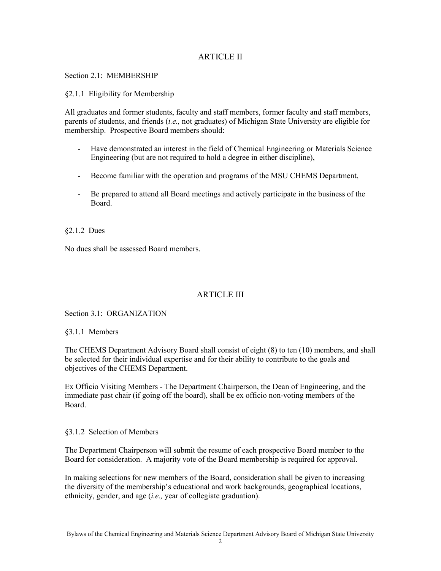# ARTICLE II

Section 2.1: MEMBERSHIP

#### §2.1.1 Eligibility for Membership

All graduates and former students, faculty and staff members, former faculty and staff members, parents of students, and friends (*i.e.,* not graduates) of Michigan State University are eligible for membership. Prospective Board members should:

- Have demonstrated an interest in the field of Chemical Engineering or Materials Science Engineering (but are not required to hold a degree in either discipline),
- Become familiar with the operation and programs of the MSU CHEMS Department,
- Be prepared to attend all Board meetings and actively participate in the business of the Board.

§2.1.2 Dues

No dues shall be assessed Board members.

# ARTICLE III

Section 3.1: ORGANIZATION

§3.1.1 Members

The CHEMS Department Advisory Board shall consist of eight (8) to ten (10) members, and shall be selected for their individual expertise and for their ability to contribute to the goals and objectives of the CHEMS Department.

Ex Officio Visiting Members - The Department Chairperson, the Dean of Engineering, and the immediate past chair (if going off the board), shall be ex officio non-voting members of the Board.

§3.1.2 Selection of Members

The Department Chairperson will submit the resume of each prospective Board member to the Board for consideration. A majority vote of the Board membership is required for approval.

In making selections for new members of the Board, consideration shall be given to increasing the diversity of the membership's educational and work backgrounds, geographical locations, ethnicity, gender, and age (*i.e.,* year of collegiate graduation).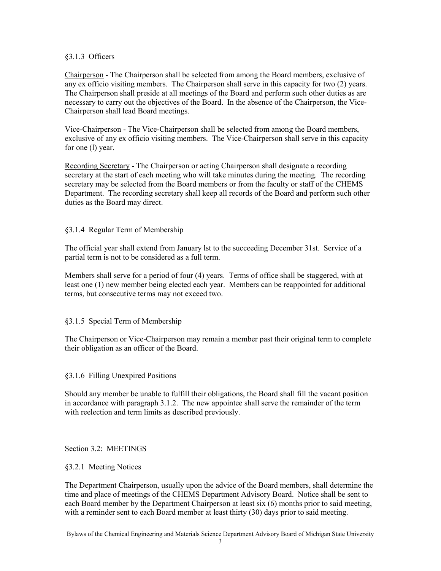### §3.1.3 Officers

Chairperson - The Chairperson shall be selected from among the Board members, exclusive of any ex officio visiting members. The Chairperson shall serve in this capacity for two (2) years. The Chairperson shall preside at all meetings of the Board and perform such other duties as are necessary to carry out the objectives of the Board. In the absence of the Chairperson, the Vice-Chairperson shall lead Board meetings.

Vice-Chairperson - The Vice-Chairperson shall be selected from among the Board members, exclusive of any ex officio visiting members. The Vice-Chairperson shall serve in this capacity for one (l) year.

Recording Secretary - The Chairperson or acting Chairperson shall designate a recording secretary at the start of each meeting who will take minutes during the meeting. The recording secretary may be selected from the Board members or from the faculty or staff of the CHEMS Department. The recording secretary shall keep all records of the Board and perform such other duties as the Board may direct.

# §3.1.4 Regular Term of Membership

The official year shall extend from January lst to the succeeding December 31st. Service of a partial term is not to be considered as a full term.

Members shall serve for a period of four (4) years. Terms of office shall be staggered, with at least one (1) new member being elected each year. Members can be reappointed for additional terms, but consecutive terms may not exceed two.

### §3.1.5 Special Term of Membership

The Chairperson or Vice-Chairperson may remain a member past their original term to complete their obligation as an officer of the Board.

### §3.1.6 Filling Unexpired Positions

Should any member be unable to fulfill their obligations, the Board shall fill the vacant position in accordance with paragraph 3.1.2. The new appointee shall serve the remainder of the term with reelection and term limits as described previously.

### Section 3.2: MEETINGS

### §3.2.1 Meeting Notices

The Department Chairperson, usually upon the advice of the Board members, shall determine the time and place of meetings of the CHEMS Department Advisory Board. Notice shall be sent to each Board member by the Department Chairperson at least six (6) months prior to said meeting, with a reminder sent to each Board member at least thirty (30) days prior to said meeting.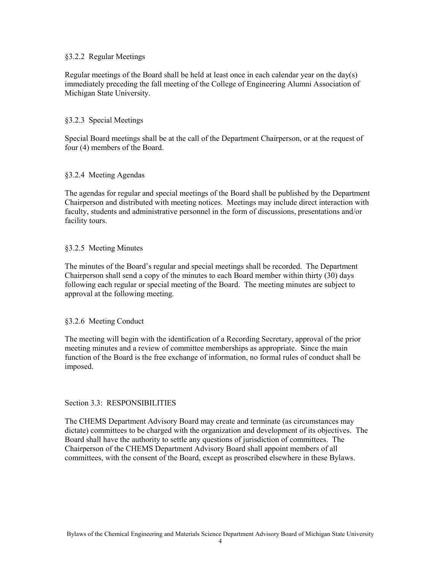#### §3.2.2 Regular Meetings

Regular meetings of the Board shall be held at least once in each calendar year on the day(s) immediately preceding the fall meeting of the College of Engineering Alumni Association of Michigan State University.

#### §3.2.3 Special Meetings

Special Board meetings shall be at the call of the Department Chairperson, or at the request of four (4) members of the Board.

#### §3.2.4 Meeting Agendas

The agendas for regular and special meetings of the Board shall be published by the Department Chairperson and distributed with meeting notices. Meetings may include direct interaction with faculty, students and administrative personnel in the form of discussions, presentations and/or facility tours.

#### §3.2.5 Meeting Minutes

The minutes of the Board's regular and special meetings shall be recorded. The Department Chairperson shall send a copy of the minutes to each Board member within thirty (30) days following each regular or special meeting of the Board. The meeting minutes are subject to approval at the following meeting.

### §3.2.6 Meeting Conduct

The meeting will begin with the identification of a Recording Secretary, approval of the prior meeting minutes and a review of committee memberships as appropriate. Since the main function of the Board is the free exchange of information, no formal rules of conduct shall be imposed.

#### Section 3.3: RESPONSIBILITIES

The CHEMS Department Advisory Board may create and terminate (as circumstances may dictate) committees to be charged with the organization and development of its objectives. The Board shall have the authority to settle any questions of jurisdiction of committees. The Chairperson of the CHEMS Department Advisory Board shall appoint members of all committees, with the consent of the Board, except as proscribed elsewhere in these Bylaws.